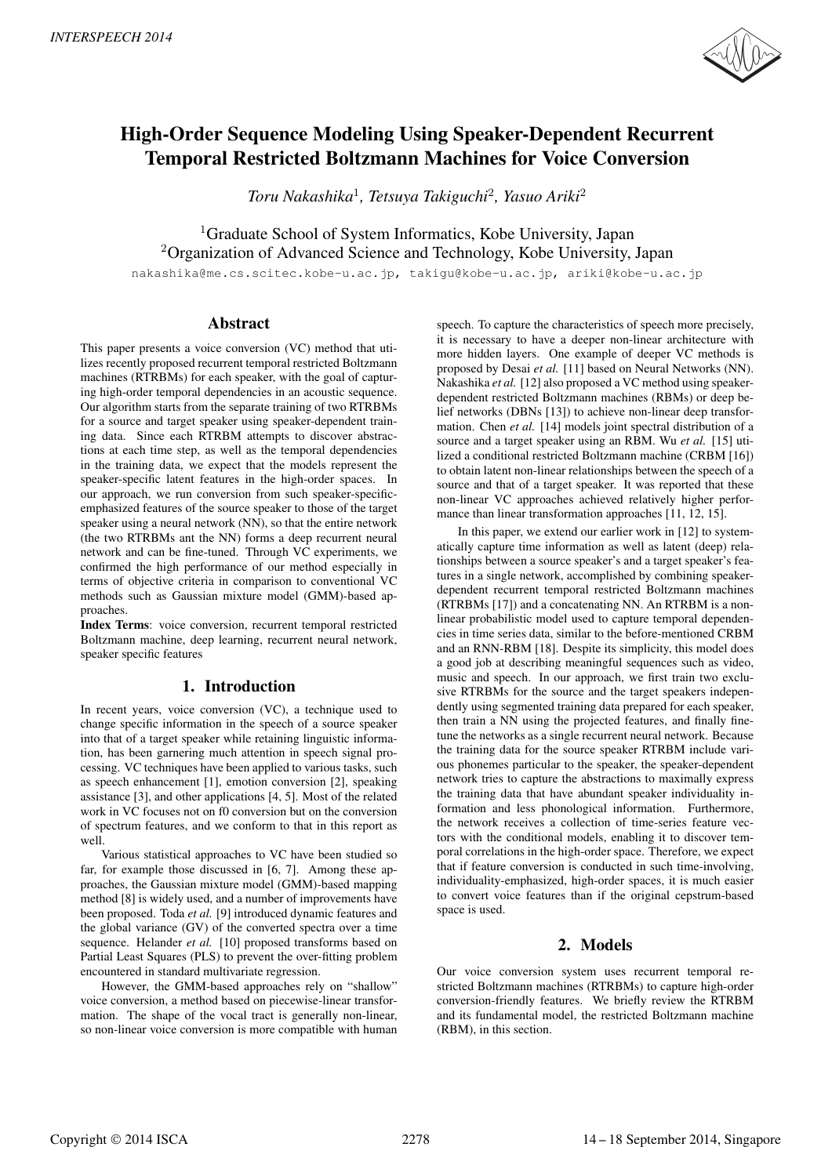

# High-Order Sequence Modeling Using Speaker-Dependent Recurrent Temporal Restricted Boltzmann Machines for Voice Conversion

*Toru Nakashika*<sup>1</sup> *, Tetsuya Takiguchi*<sup>2</sup> *, Yasuo Ariki*<sup>2</sup>

<sup>1</sup>Graduate School of System Informatics, Kobe University, Japan <sup>2</sup>Organization of Advanced Science and Technology, Kobe University, Japan

nakashika@me.cs.scitec.kobe-u.ac.jp, takigu@kobe-u.ac.jp, ariki@kobe-u.ac.jp

## Abstract

This paper presents a voice conversion (VC) method that utilizes recently proposed recurrent temporal restricted Boltzmann machines (RTRBMs) for each speaker, with the goal of capturing high-order temporal dependencies in an acoustic sequence. Our algorithm starts from the separate training of two RTRBMs for a source and target speaker using speaker-dependent training data. Since each RTRBM attempts to discover abstractions at each time step, as well as the temporal dependencies in the training data, we expect that the models represent the speaker-specific latent features in the high-order spaces. In our approach, we run conversion from such speaker-specificemphasized features of the source speaker to those of the target speaker using a neural network (NN), so that the entire network (the two RTRBMs ant the NN) forms a deep recurrent neural network and can be fine-tuned. Through VC experiments, we confirmed the high performance of our method especially in terms of objective criteria in comparison to conventional VC methods such as Gaussian mixture model (GMM)-based approaches.

Index Terms: voice conversion, recurrent temporal restricted Boltzmann machine, deep learning, recurrent neural network, speaker specific features

#### 1. Introduction

In recent years, voice conversion (VC), a technique used to change specific information in the speech of a source speaker into that of a target speaker while retaining linguistic information, has been garnering much attention in speech signal processing. VC techniques have been applied to various tasks, such as speech enhancement [1], emotion conversion [2], speaking assistance [3], and other applications [4, 5]. Most of the related work in VC focuses not on f0 conversion but on the conversion of spectrum features, and we conform to that in this report as well.

Various statistical approaches to VC have been studied so far, for example those discussed in [6, 7]. Among these approaches, the Gaussian mixture model (GMM)-based mapping method [8] is widely used, and a number of improvements have been proposed. Toda *et al.* [9] introduced dynamic features and the global variance (GV) of the converted spectra over a time sequence. Helander *et al.* [10] proposed transforms based on Partial Least Squares (PLS) to prevent the over-fitting problem encountered in standard multivariate regression.

However, the GMM-based approaches rely on "shallow" voice conversion, a method based on piecewise-linear transformation. The shape of the vocal tract is generally non-linear, so non-linear voice conversion is more compatible with human

speech. To capture the characteristics of speech more precisely, it is necessary to have a deeper non-linear architecture with more hidden layers. One example of deeper VC methods is proposed by Desai *et al.* [11] based on Neural Networks (NN). Nakashika *et al.* [12] also proposed a VC method using speakerdependent restricted Boltzmann machines (RBMs) or deep belief networks (DBNs [13]) to achieve non-linear deep transformation. Chen *et al.* [14] models joint spectral distribution of a source and a target speaker using an RBM. Wu *et al.* [15] utilized a conditional restricted Boltzmann machine (CRBM [16]) to obtain latent non-linear relationships between the speech of a source and that of a target speaker. It was reported that these non-linear VC approaches achieved relatively higher performance than linear transformation approaches [11, 12, 15].

In this paper, we extend our earlier work in [12] to systematically capture time information as well as latent (deep) relationships between a source speaker's and a target speaker's features in a single network, accomplished by combining speakerdependent recurrent temporal restricted Boltzmann machines (RTRBMs [17]) and a concatenating NN. An RTRBM is a nonlinear probabilistic model used to capture temporal dependencies in time series data, similar to the before-mentioned CRBM and an RNN-RBM [18]. Despite its simplicity, this model does a good job at describing meaningful sequences such as video, music and speech. In our approach, we first train two exclusive RTRBMs for the source and the target speakers independently using segmented training data prepared for each speaker, then train a NN using the projected features, and finally finetune the networks as a single recurrent neural network. Because the training data for the source speaker RTRBM include various phonemes particular to the speaker, the speaker-dependent network tries to capture the abstractions to maximally express the training data that have abundant speaker individuality information and less phonological information. Furthermore, the network receives a collection of time-series feature vectors with the conditional models, enabling it to discover temporal correlations in the high-order space. Therefore, we expect that if feature conversion is conducted in such time-involving, individuality-emphasized, high-order spaces, it is much easier to convert voice features than if the original cepstrum-based space is used.

## 2. Models

Our voice conversion system uses recurrent temporal restricted Boltzmann machines (RTRBMs) to capture high-order conversion-friendly features. We briefly review the RTRBM and its fundamental model, the restricted Boltzmann machine (RBM), in this section.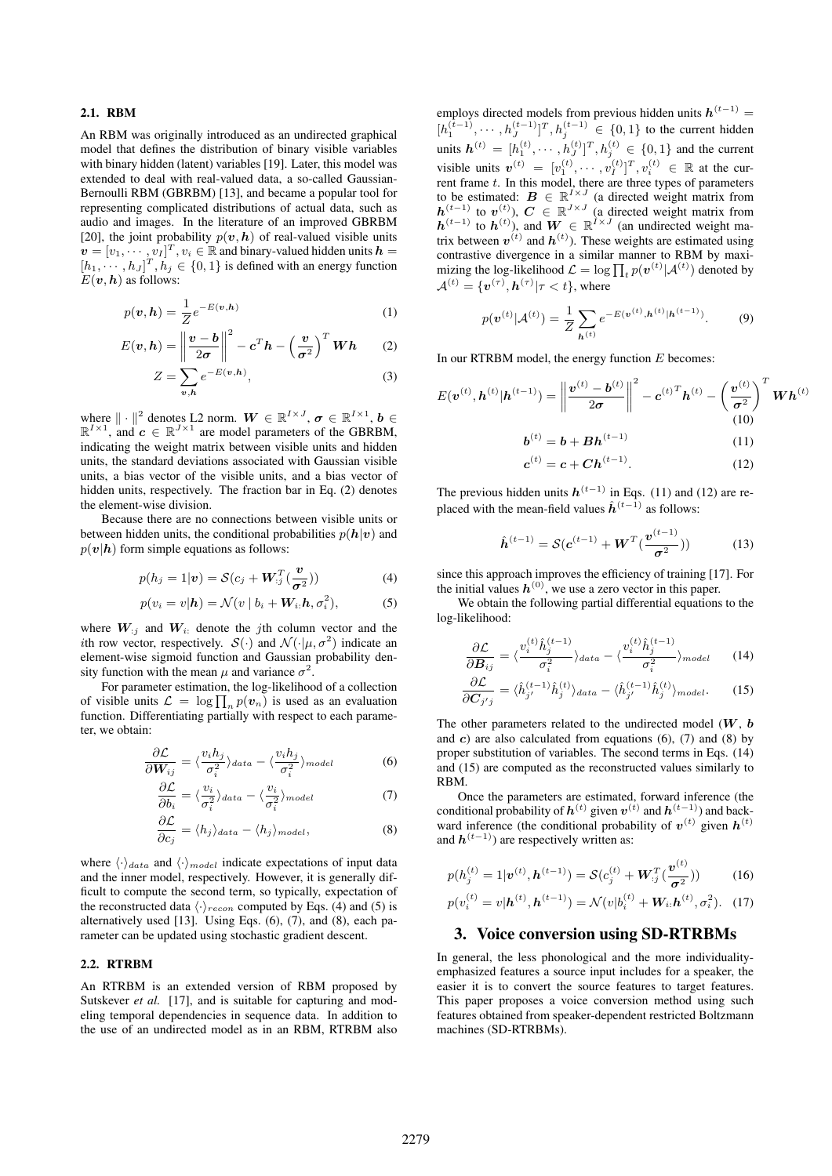#### 2.1. RBM

An RBM was originally introduced as an undirected graphical model that defines the distribution of binary visible variables with binary hidden (latent) variables [19]. Later, this model was extended to deal with real-valued data, a so-called Gaussian-Bernoulli RBM (GBRBM) [13], and became a popular tool for representing complicated distributions of actual data, such as audio and images. In the literature of an improved GBRBM [20], the joint probability  $p(v, h)$  of real-valued visible units  $\boldsymbol{v} = [v_1, \cdots, v_I]^T, v_i \in \mathbb{R}$  and binary-valued hidden units  $\boldsymbol{h} =$  $[h_1, \cdots, h_J]^T, h_j \in \{0, 1\}$  is defined with an energy function  $E(\mathbf{v}, \mathbf{h})$  as follows:

$$
p(\boldsymbol{v}, \boldsymbol{h}) = \frac{1}{Z} e^{-E(\boldsymbol{v}, \boldsymbol{h})}
$$
 (1)

$$
E(v, h) = \left\| \frac{v - b}{2\sigma} \right\|^2 - c^T h - \left(\frac{v}{\sigma^2}\right)^T W h \qquad (2)
$$

$$
Z = \sum_{v,h} e^{-E(v,h)},\tag{3}
$$

where  $\| \cdot \|^2$  denotes L2 norm.  $W \in \mathbb{R}^{I \times J}$ ,  $\sigma \in \mathbb{R}^{I \times 1}$ ,  $b \in$  $\mathbb{R}^{I \times 1}$ , and  $c \in \mathbb{R}^{J \times 1}$  are model parameters of the GBRBM, indicating the weight matrix between visible units and hidden units, the standard deviations associated with Gaussian visible units, a bias vector of the visible units, and a bias vector of hidden units, respectively. The fraction bar in Eq. (2) denotes the element-wise division.

Because there are no connections between visible units or between hidden units, the conditional probabilities  $p(h|v)$  and  $p(\mathbf{v}|\mathbf{h})$  form simple equations as follows:

$$
p(h_j = 1|\mathbf{v}) = \mathcal{S}(c_j + \mathbf{W}_{:j}^T(\frac{\mathbf{v}}{\sigma^2}))
$$
\n(4)

$$
p(v_i = v | \mathbf{h}) = \mathcal{N}(v | b_i + \mathbf{W}_i \cdot \mathbf{h}, \sigma_i^2), \tag{5}
$$

where  $W_{ij}$  and  $W_i$ : denote the *j*th column vector and the *i*th row vector, respectively.  $S(\cdot)$  and  $\mathcal{N}(\cdot|\mu, \sigma^2)$  indicate an element-wise sigmoid function and Gaussian probability density function with the mean  $\mu$  and variance  $\sigma^2$ .

For parameter estimation, the log-likelihood of a collection of visible units  $\mathcal{L} = \log \prod_n p(\mathbf{v}_n)$  is used as an evaluation function. Differentiating partially with respect to each parameter, we obtain:

$$
\frac{\partial \mathcal{L}}{\partial W_{ij}} = \langle \frac{v_i h_j}{\sigma_i^2} \rangle_{data} - \langle \frac{v_i h_j}{\sigma_i^2} \rangle_{model}
$$
 (6)

$$
\frac{\partial \mathcal{L}}{\partial b_i} = \langle \frac{v_i}{\sigma_i^2} \rangle_{data} - \langle \frac{v_i}{\sigma_i^2} \rangle_{model}
$$
 (7)

$$
\frac{\partial \mathcal{L}}{\partial c_j} = \langle h_j \rangle_{data} - \langle h_j \rangle_{model},\tag{8}
$$

where  $\langle \cdot \rangle_{data}$  and  $\langle \cdot \rangle_{model}$  indicate expectations of input data and the inner model, respectively. However, it is generally difficult to compute the second term, so typically, expectation of the reconstructed data  $\langle \cdot \rangle_{recon}$  computed by Eqs. (4) and (5) is alternatively used [13]. Using Eqs. (6), (7), and (8), each parameter can be updated using stochastic gradient descent.

#### 2.2. RTRBM

An RTRBM is an extended version of RBM proposed by Sutskever *et al.* [17], and is suitable for capturing and modeling temporal dependencies in sequence data. In addition to the use of an undirected model as in an RBM, RTRBM also

employs directed models from previous hidden units  $h$ <sup>(*t*−1)</sup> =  $[h_1^{(t-1)}, \cdots, h_J^{(t-1)}]^T, h_j^{(t-1)} \in \{0, 1\}$  to the current hidden units  $h^{(t)} = [h_1^{(t)}, \cdots, h_J^{(t)}]^T, h_j^{(t)} \in \{0, 1\}$  and the current visible units  $v^{(t)} = [v_1^{(t)}, \cdots, v_I^{(t)}]^T, v_i^{(t)} \in \mathbb{R}$  at the current frame *t*. In this model, there are three types of parameters to be estimated:  $\mathbf{B} \in \mathbb{R}^{I \times J}$  (a directed weight matrix from *h*<sup>(*t*−1)</sup> to *v*<sup>(*t*)</sup>), *C* ∈ R<sup>*J*×*J*</sup> (a directed weight matrix from *h*<sup>(*t*−1)</sup> to *h*<sup>(*t*)</sup>), and *W*  $\in \mathbb{R}^{I \times J}$  (an undirected weight matrix between  $v^{(t)}$  and  $h^{(t)}$ ). These weights are estimated using contrastive divergence in a similar manner to RBM by maximizing the log-likelihood  $\mathcal{L} = \log \prod_t p(v^{(t)}|\mathcal{A}^{(t)})$  denoted by  $\mathcal{A}^{(t)} = \{ \boldsymbol{v}^{(\tau)}, \boldsymbol{h}^{(\tau)} | \tau < t \},$  where

$$
p(\mathbf{v}^{(t)}|\mathcal{A}^{(t)}) = \frac{1}{Z} \sum_{\mathbf{h}^{(t)}} e^{-E(\mathbf{v}^{(t)}, \mathbf{h}^{(t)}|\mathbf{h}^{(t-1)})}.
$$
 (9)

In our RTRBM model, the energy function *E* becomes:

$$
E(\mathbf{v}^{(t)}, \mathbf{h}^{(t)} | \mathbf{h}^{(t-1)}) = \left\| \frac{\mathbf{v}^{(t)} - \mathbf{b}^{(t)}}{2\sigma} \right\|^2 - \mathbf{c}^{(t)^T} \mathbf{h}^{(t)} - \left(\frac{\mathbf{v}^{(t)}}{\sigma^2}\right)^T \mathbf{W} \mathbf{h}^{(t)}
$$
\n(10)

$$
b^{(t)} = b + Bh^{(t-1)}
$$
 (11)

$$
c^{(t)} = c + Ch^{(t-1)}.
$$
 (12)

The previous hidden units  $h^{(t-1)}$  in Eqs. (11) and (12) are replaced with the mean-field values  $\hat{h}^{(t-1)}$  as follows:

$$
\hat{\boldsymbol{h}}^{(t-1)} = \mathcal{S}(\boldsymbol{c}^{(t-1)} + \boldsymbol{W}^T(\frac{\boldsymbol{v}^{(t-1)}}{\sigma^2}))
$$
(13)

since this approach improves the efficiency of training [17]. For the initial values  $h^{(0)}$ , we use a zero vector in this paper.

We obtain the following partial differential equations to the log-likelihood:

$$
\frac{\partial \mathcal{L}}{\partial \mathbf{B}_{ij}} = \langle \frac{v_i^{(t)} \hat{h}_j^{(t-1)}}{\sigma_i^2} \rangle_{data} - \langle \frac{v_i^{(t)} \hat{h}_j^{(t-1)}}{\sigma_i^2} \rangle_{model} \qquad (14)
$$

$$
\frac{\partial \mathcal{L}}{\partial \mathbf{C}_{j'j}} = \langle \hat{h}_{j'}^{(t-1)} \hat{h}_j^{(t)} \rangle_{data} - \langle \hat{h}_{j'}^{(t-1)} \hat{h}_j^{(t)} \rangle_{model}.
$$
 (15)

The other parameters related to the undirected model  $(W, b)$ and *c*) are also calculated from equations (6), (7) and (8) by proper substitution of variables. The second terms in Eqs. (14) and (15) are computed as the reconstructed values similarly to RBM.

Once the parameters are estimated, forward inference (the conditional probability of  $h^{(t)}$  given  $v^{(t)}$  and  $h^{(t-1)}$ ) and backward inference (the conditional probability of  $v^{(t)}$  given  $h^{(t)}$ and *h* (*t−*1)) are respectively written as:

$$
p(h_j^{(t)} = 1 | \mathbf{v}^{(t)}, \mathbf{h}^{(t-1)}) = \mathcal{S}(c_j^{(t)} + \mathbf{W}_{:j}^T(\frac{\mathbf{v}^{(t)}}{\sigma^2}))
$$
 (16)

$$
p(v_i^{(t)} = v | \boldsymbol{h}^{(t)}, \boldsymbol{h}^{(t-1)}) = \mathcal{N}(v | b_i^{(t)} + \boldsymbol{W}_i \boldsymbol{h}^{(t)}, \sigma_i^2). \tag{17}
$$

### 3. Voice conversion using SD-RTRBMs

In general, the less phonological and the more individualityemphasized features a source input includes for a speaker, the easier it is to convert the source features to target features. This paper proposes a voice conversion method using such features obtained from speaker-dependent restricted Boltzmann machines (SD-RTRBMs).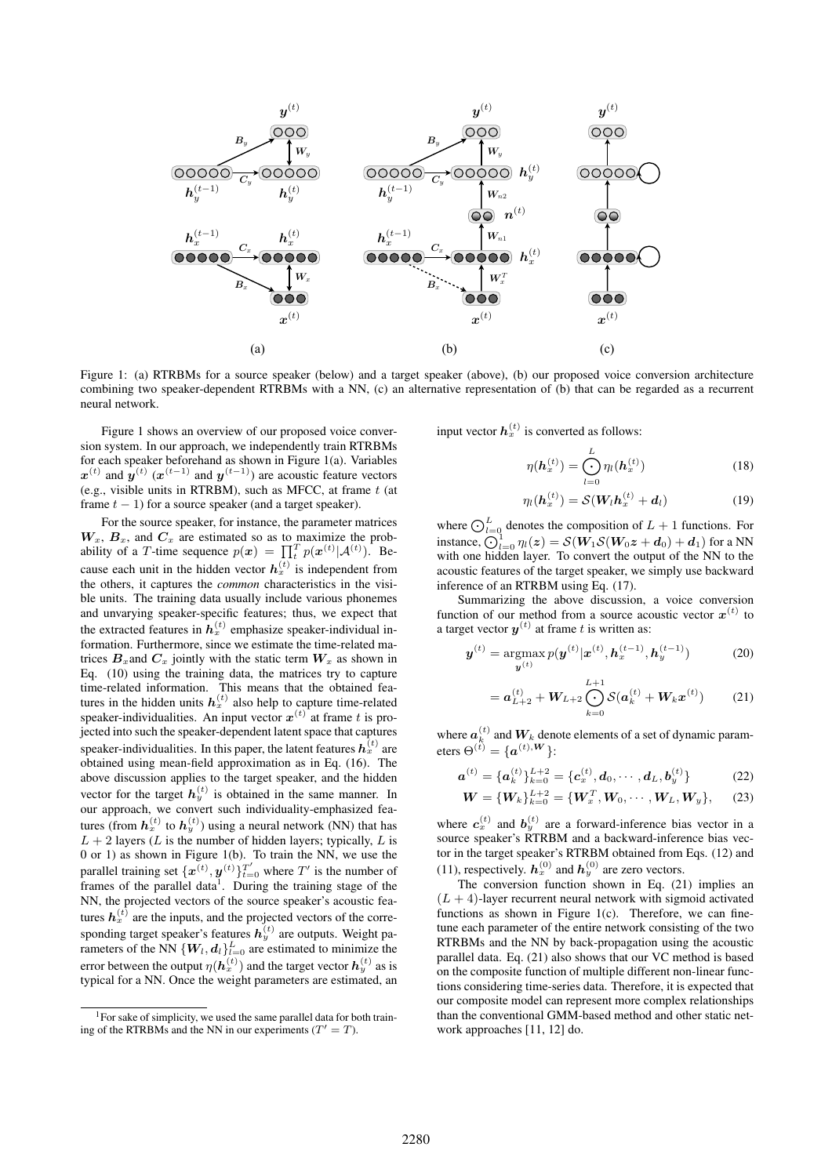

Figure 1: (a) RTRBMs for a source speaker (below) and a target speaker (above), (b) our proposed voice conversion architecture combining two speaker-dependent RTRBMs with a NN, (c) an alternative representation of (b) that can be regarded as a recurrent neural network.

Figure 1 shows an overview of our proposed voice conversion system. In our approach, we independently train RTRBMs for each speaker beforehand as shown in Figure 1(a). Variables  $x^{(t)}$  and  $y^{(t)}$  ( $x^{(t-1)}$  and  $y^{(t-1)}$ ) are acoustic feature vectors (e.g., visible units in RTRBM), such as MFCC, at frame *t* (at frame  $t - 1$ ) for a source speaker (and a target speaker).

For the source speaker, for instance, the parameter matrices  $W_x$ ,  $B_x$ , and  $C_x$  are estimated so as to maximize the probability of a *T*-time sequence  $p(x) = \prod_{t}^{T} p(x^{(t)} | A^{(t)})$ . Because each unit in the hidden vector  $h_x^{(t)}$  is independent from the others, it captures the *common* characteristics in the visible units. The training data usually include various phonemes and unvarying speaker-specific features; thus, we expect that the extracted features in  $h_x^{(t)}$  emphasize speaker-individual information. Furthermore, since we estimate the time-related matrices  $B_x$  and  $C_x$  jointly with the static term  $W_x$  as shown in Eq. (10) using the training data, the matrices try to capture time-related information. This means that the obtained features in the hidden units  $h_x^{(t)}$  also help to capture time-related speaker-individualities. An input vector  $x^{(t)}$  at frame t is projected into such the speaker-dependent latent space that captures speaker-individualities. In this paper, the latent features  $h_x^{(t)}$  are obtained using mean-field approximation as in Eq. (16). The above discussion applies to the target speaker, and the hidden vector for the target  $h_y^{(t)}$  is obtained in the same manner. In our approach, we convert such individuality-emphasized features (from  $h_x^{(t)}$  to  $h_y^{(t)}$ ) using a neural network (NN) that has  $L + 2$  layers (*L* is the number of hidden layers; typically, *L* is 0 or 1) as shown in Figure 1(b). To train the NN, we use the parallel training set  $\{\boldsymbol{x}^{(t)}, \boldsymbol{y}^{(t)}\}_{t=0}^{T'}$  where  $T'$  is the number of frames of the parallel data<sup>1</sup>. During the training stage of the NN, the projected vectors of the source speaker's acoustic features  $h_x^{(t)}$  are the inputs, and the projected vectors of the corresponding target speaker's features  $h_{y}^{(t)}$  are outputs. Weight parameters of the NN  $\{W_l, d_l\}_{l=0}^L$  are estimated to minimize the error between the output  $\eta(h_x^{(t)})$  and the target vector  $h_y^{(t)}$  as is typical for a NN. Once the weight parameters are estimated, an input vector  $h_x^{(t)}$  is converted as follows:

$$
\eta(\bm{h}_x^{(t)}) = \bigodot_{l=0}^{L} \eta_l(\bm{h}_x^{(t)})
$$
\n(18)

$$
\eta_l(\boldsymbol{h}_x^{(t)}) = \mathcal{S}(\boldsymbol{W}_l \boldsymbol{h}_x^{(t)} + \boldsymbol{d}_l)
$$
\n(19)

where  $\bigodot_{l=0}^{L}$  denotes the composition of  $L+1$  functions. For instance,  $\bigodot_{l=0}^{1} \eta_l(z) = \mathcal{S}(\overline{W}_1 \mathcal{S}(W_0 z + d_0) + d_1)$  for a NN with one hidden layer. To convert the output of the NN to the acoustic features of the target speaker, we simply use backward inference of an RTRBM using Eq. (17).

Summarizing the above discussion, a voice conversion function of our method from a source acoustic vector  $x^{(t)}$  to a target vector  $y^{(t)}$  at frame *t* is written as:

$$
\boldsymbol{y}^{(t)} = \underset{\boldsymbol{y}^{(t)}}{\operatorname{argmax}} p(\boldsymbol{y}^{(t)}|\boldsymbol{x}^{(t)}, \boldsymbol{h}_x^{(t-1)}, \boldsymbol{h}_y^{(t-1)})
$$
(20)

$$
= \mathbf{a}_{L+2}^{(t)} + \mathbf{W}_{L+2} \bigodot_{k=0}^{L+1} \mathcal{S}(\mathbf{a}_k^{(t)} + \mathbf{W}_k \mathbf{x}^{(t)}) \qquad (21)
$$

where  $a_k^{(t)}$  and  $W_k$  denote elements of a set of dynamic parameters  $\Theta^{(t)} = \{ \bm{a}^{(t), \bm{W}} \}$ :

$$
\boldsymbol{a}^{(t)} = {\{\boldsymbol{a}_k^{(t)}\}}_{k=0}^{L+2} = {\{\boldsymbol{c}_x^{(t)}, \boldsymbol{d}_0, \cdots, \boldsymbol{d}_L, \boldsymbol{b}_y^{(t)}\}}
$$
(22)

$$
\mathbf{W} = {\mathbf{W}_k}_{k=0}^{L+2} = {\mathbf{W}_x^T, \mathbf{W}_0, \cdots, \mathbf{W}_L, \mathbf{W}_y},
$$
 (23)

where  $c_x^{(t)}$  and  $b_y^{(t)}$  are a forward-inference bias vector in a source speaker's RTRBM and a backward-inference bias vector in the target speaker's RTRBM obtained from Eqs. (12) and (11), respectively.  $h_x^{(0)}$  and  $h_y^{(0)}$  are zero vectors.

The conversion function shown in Eq. (21) implies an  $(L + 4)$ -layer recurrent neural network with sigmoid activated functions as shown in Figure  $1(c)$ . Therefore, we can finetune each parameter of the entire network consisting of the two RTRBMs and the NN by back-propagation using the acoustic parallel data. Eq. (21) also shows that our VC method is based on the composite function of multiple different non-linear functions considering time-series data. Therefore, it is expected that our composite model can represent more complex relationships than the conventional GMM-based method and other static network approaches [11, 12] do.

 $1$ For sake of simplicity, we used the same parallel data for both training of the RTRBMs and the NN in our experiments  $(T' = T)$ .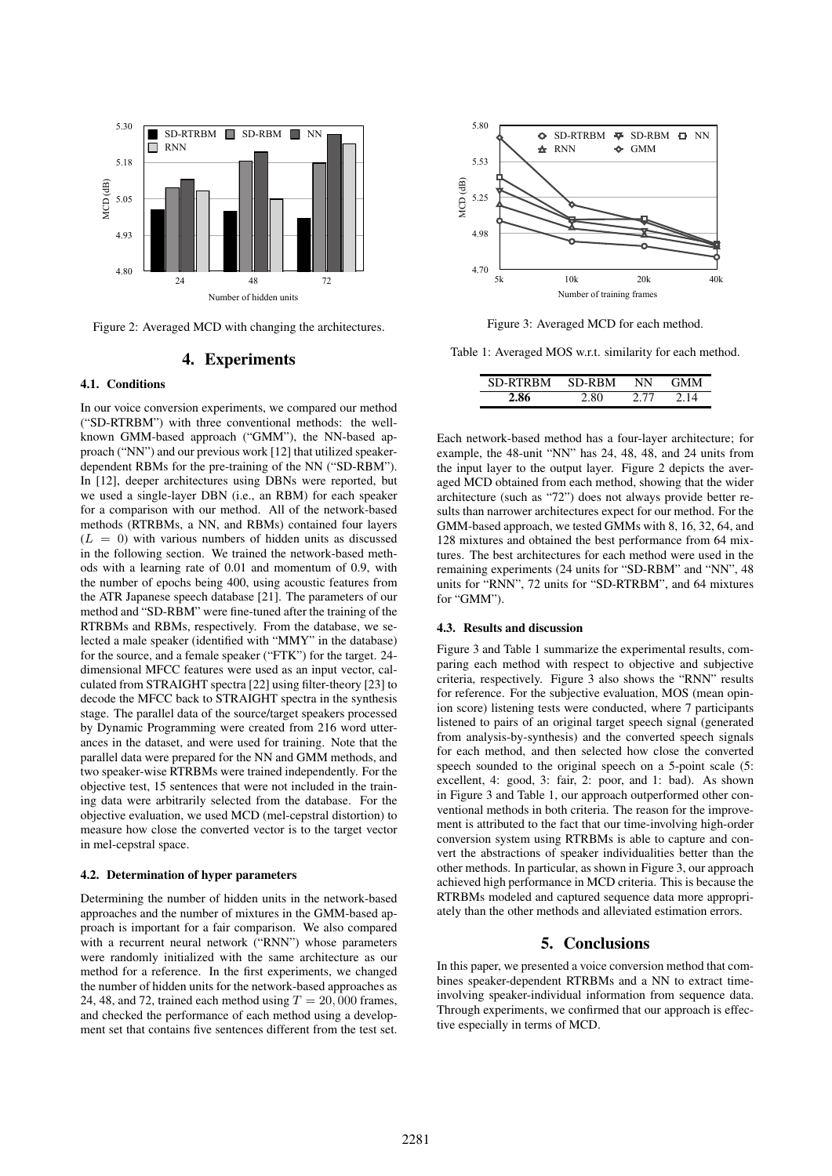

Figure 2: Averaged MCD with changing the architectures.

#### 4. Experiments

#### 4.1. Conditions

In our voice conversion experiments, we compared our method ("SD-RTRBM") with three conventional methods: the wellknown GMM-based approach ("GMM"), the NN-based approach ("NN") and our previous work [12] that utilized speakerdependent RBMs for the pre-training of the NN ("SD-RBM"). In [12], deeper architectures using DBNs were reported, but we used a single-layer DBN (i.e., an RBM) for each speaker for a comparison with our method. All of the network-based methods (RTRBMs, a NN, and RBMs) contained four layers  $(L = 0)$  with various numbers of hidden units as discussed in the following section. We trained the network-based methods with a learning rate of 0.01 and momentum of 0.9, with the number of epochs being 400, using acoustic features from the ATR Japanese speech database [21]. The parameters of our method and "SD-RBM" were fine-tuned after the training of the RTRBMs and RBMs, respectively. From the database, we selected a male speaker (identified with "MMY" in the database) for the source, and a female speaker ("FTK") for the target. 24 dimensional MFCC features were used as an input vector, calculated from STRAIGHT spectra [22] using filter-theory [23] to decode the MFCC back to STRAIGHT spectra in the synthesis stage. The parallel data of the source/target speakers processed by Dynamic Programming were created from 216 word utterances in the dataset, and were used for training. Note that the parallel data were prepared for the NN and GMM methods, and two speaker-wise RTRBMs were trained independently. For the objective test, 15 sentences that were not included in the training data were arbitrarily selected from the database. For the objective evaluation, we used MCD (mel-cepstral distortion) to measure how close the converted vector is to the target vector in mel-cepstral space.

#### 4.2. Determination of hyper parameters

Determining the number of hidden units in the network-based approaches and the number of mixtures in the GMM-based approach is important for a fair comparison. We also compared with a recurrent neural network ("RNN") whose parameters were randomly initialized with the same architecture as our method for a reference. In the first experiments, we changed the number of hidden units for the network-based approaches as 24, 48, and 72, trained each method using  $T = 20,000$  frames, and checked the performance of each method using a development set that contains five sentences different from the test set.



Figure 3: Averaged MCD for each method.

Table 1: Averaged MOS w.r.t. similarity for each method.

| SD-RTRBM | SD-RBM | NN   | <b>GMM</b> |
|----------|--------|------|------------|
| 2.86     | 2.80   | 2.77 | 2.14       |

Each network-based method has a four-layer architecture; for example, the 48-unit "NN" has 24, 48, 48, and 24 units from the input layer to the output layer. Figure 2 depicts the averaged MCD obtained from each method, showing that the wider architecture (such as "72") does not always provide better results than narrower architectures expect for our method. For the GMM-based approach, we tested GMMs with 8, 16, 32, 64, and 128 mixtures and obtained the best performance from 64 mixtures. The best architectures for each method were used in the remaining experiments (24 units for "SD-RBM" and "NN", 48 units for "RNN", 72 units for "SD-RTRBM", and 64 mixtures for "GMM").

#### 4.3. Results and discussion

Figure 3 and Table 1 summarize the experimental results, comparing each method with respect to objective and subjective criteria, respectively. Figure 3 also shows the "RNN" results for reference. For the subjective evaluation, MOS (mean opinion score) listening tests were conducted, where 7 participants listened to pairs of an original target speech signal (generated from analysis-by-synthesis) and the converted speech signals for each method, and then selected how close the converted speech sounded to the original speech on a 5-point scale (5: excellent, 4: good, 3: fair, 2: poor, and 1: bad). As shown in Figure 3 and Table 1, our approach outperformed other conventional methods in both criteria. The reason for the improvement is attributed to the fact that our time-involving high-order conversion system using RTRBMs is able to capture and convert the abstractions of speaker individualities better than the other methods. In particular, as shown in Figure 3, our approach achieved high performance in MCD criteria. This is because the RTRBMs modeled and captured sequence data more appropriately than the other methods and alleviated estimation errors.

#### 5. Conclusions

In this paper, we presented a voice conversion method that combines speaker-dependent RTRBMs and a NN to extract timeinvolving speaker-individual information from sequence data. Through experiments, we confirmed that our approach is effective especially in terms of MCD.